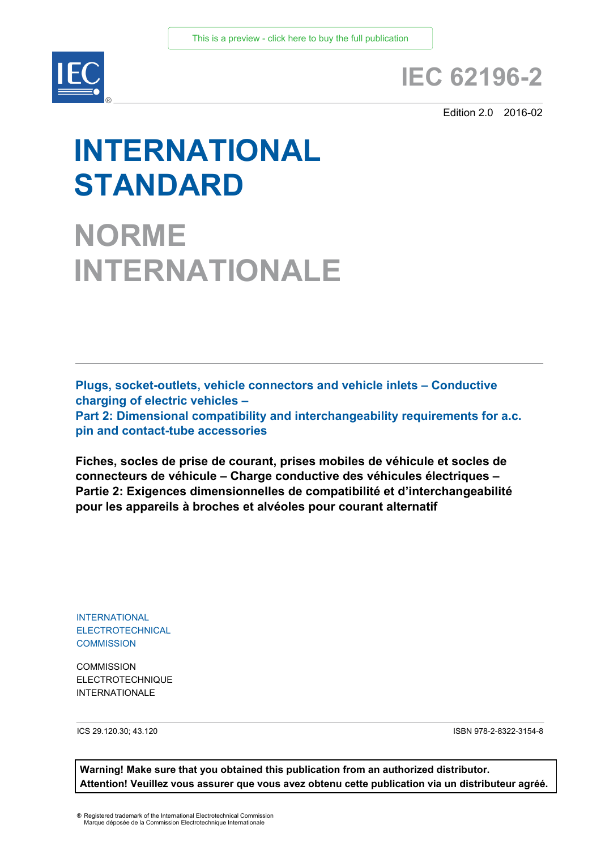

# **IEC 62196-2**

Edition 2.0 2016-02

# **INTERNATIONAL STANDARD**

**NORME INTERNATIONALE**

**Plugs, socket-outlets, vehicle connectors and vehicle inlets – Conductive charging of electric vehicles – Part 2: Dimensional compatibility and interchangeability requirements for a.c. pin and contact-tube accessories**

**Fiches, socles de prise de courant, prises mobiles de véhicule et socles de connecteurs de véhicule – Charge conductive des véhicules électriques – Partie 2: Exigences dimensionnelles de compatibilité et d'interchangeabilité pour les appareils à broches et alvéoles pour courant alternatif**

INTERNATIONAL ELECTROTECHNICAL **COMMISSION** 

**COMMISSION** ELECTROTECHNIQUE INTERNATIONALE

ICS 29.120.30; 43.120 ISBN 978-2-8322-3154-8

**Warning! Make sure that you obtained this publication from an authorized distributor. Attention! Veuillez vous assurer que vous avez obtenu cette publication via un distributeur agréé.**

® Registered trademark of the International Electrotechnical Commission Marque déposée de la Commission Electrotechnique Internationale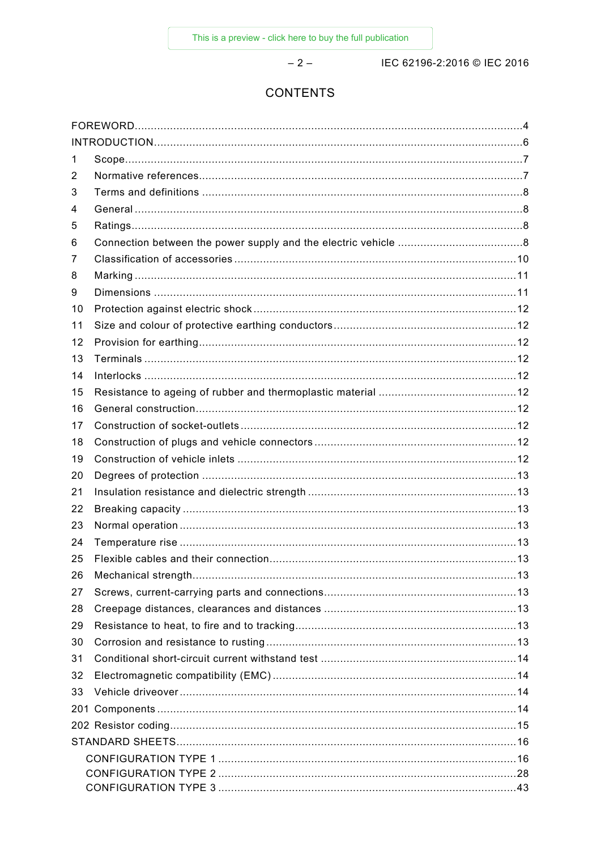$-2-$ 

IEC 62196-2:2016 © IEC 2016

# **CONTENTS**

| 1   |  |  |  |
|-----|--|--|--|
| 2   |  |  |  |
| 3   |  |  |  |
| 4   |  |  |  |
| 5   |  |  |  |
| 6   |  |  |  |
| 7   |  |  |  |
| 8   |  |  |  |
| 9   |  |  |  |
| 10  |  |  |  |
| 11  |  |  |  |
| 12  |  |  |  |
| 13  |  |  |  |
| 14  |  |  |  |
| 15  |  |  |  |
| 16  |  |  |  |
| 17  |  |  |  |
| 18  |  |  |  |
| 19  |  |  |  |
| 20  |  |  |  |
| 21  |  |  |  |
| 22  |  |  |  |
| 23  |  |  |  |
| 24  |  |  |  |
| 25  |  |  |  |
| 26  |  |  |  |
| 27  |  |  |  |
| 28  |  |  |  |
| 29  |  |  |  |
| 30  |  |  |  |
| 31  |  |  |  |
| 32  |  |  |  |
| 33  |  |  |  |
| 201 |  |  |  |
|     |  |  |  |
|     |  |  |  |
|     |  |  |  |
|     |  |  |  |
|     |  |  |  |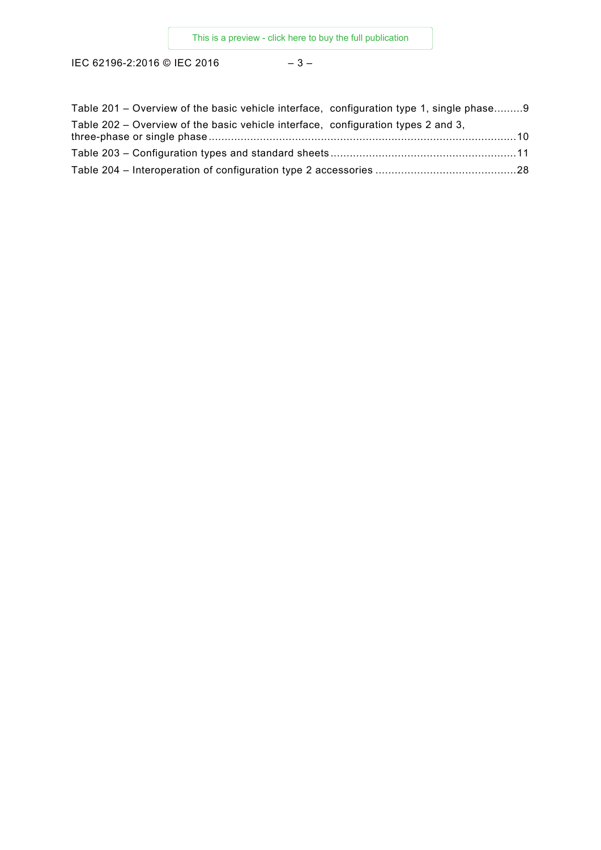IEC 62196-2:2016 © IEC 2016 – 3 –

| Table 201 – Overview of the basic vehicle interface, configuration type 1, single phase9 |  |
|------------------------------------------------------------------------------------------|--|
| Table 202 – Overview of the basic vehicle interface, configuration types 2 and 3,        |  |
|                                                                                          |  |
|                                                                                          |  |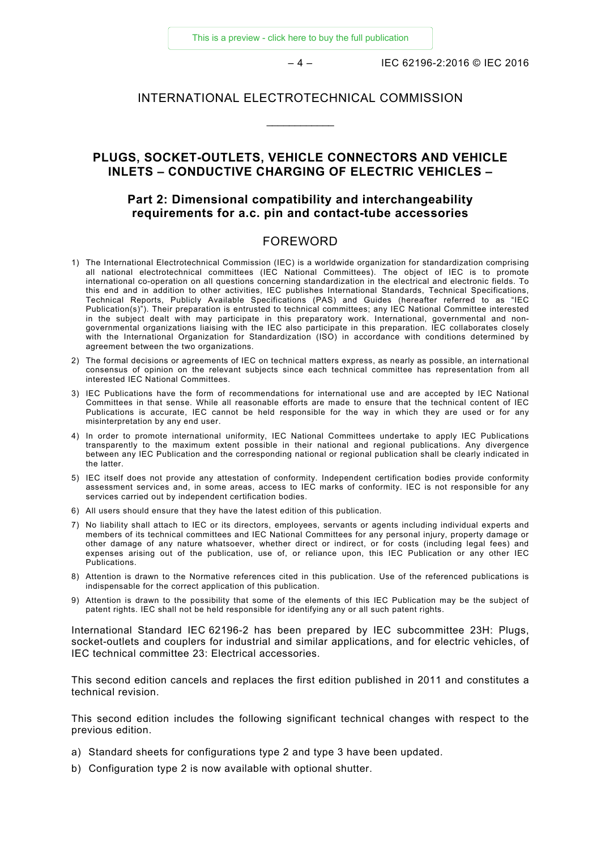– 4 – IEC 62196-2:2016 © IEC 2016

# INTERNATIONAL ELECTROTECHNICAL COMMISSION

\_\_\_\_\_\_\_\_\_\_\_\_

# **PLUGS, SOCKET-OUTLETS, VEHICLE CONNECTORS AND VEHICLE INLETS – CONDUCTIVE CHARGING OF ELECTRIC VEHICLES –**

# **Part 2: Dimensional compatibility and interchangeability requirements for a.c. pin and contact-tube accessories**

# FOREWORD

- <span id="page-3-0"></span>1) The International Electrotechnical Commission (IEC) is a worldwide organization for standardization comprising all national electrotechnical committees (IEC National Committees). The object of IEC is to promote international co-operation on all questions concerning standardization in the electrical and electronic fields. To this end and in addition to other activities, IEC publishes International Standards, Technical Specifications, Technical Reports, Publicly Available Specifications (PAS) and Guides (hereafter referred to as "IEC Publication(s)"). Their preparation is entrusted to technical committees; any IEC National Committee interested in the subject dealt with may participate in this preparatory work. International, governmental and nongovernmental organizations liaising with the IEC also participate in this preparation. IEC collaborates closely with the International Organization for Standardization (ISO) in accordance with conditions determined by agreement between the two organizations.
- 2) The formal decisions or agreements of IEC on technical matters express, as nearly as possible, an international consensus of opinion on the relevant subjects since each technical committee has representation from all interested IEC National Committees.
- 3) IEC Publications have the form of recommendations for international use and are accepted by IEC National Committees in that sense. While all reasonable efforts are made to ensure that the technical content of IEC Publications is accurate, IEC cannot be held responsible for the way in which they are used or for any misinterpretation by any end user.
- 4) In order to promote international uniformity, IEC National Committees undertake to apply IEC Publications transparently to the maximum extent possible in their national and regional publications. Any divergence between any IEC Publication and the corresponding national or regional publication shall be clearly indicated in the latter.
- 5) IEC itself does not provide any attestation of conformity. Independent certification bodies provide conformity assessment services and, in some areas, access to IEC marks of conformity. IEC is not responsible for any services carried out by independent certification bodies.
- 6) All users should ensure that they have the latest edition of this publication.
- 7) No liability shall attach to IEC or its directors, employees, servants or agents including individual experts and members of its technical committees and IEC National Committees for any personal injury, property damage or other damage of any nature whatsoever, whether direct or indirect, or for costs (including legal fees) and expenses arising out of the publication, use of, or reliance upon, this IEC Publication or any other IEC Publications.
- 8) Attention is drawn to the Normative references cited in this publication. Use of the referenced publications is indispensable for the correct application of this publication.
- 9) Attention is drawn to the possibility that some of the elements of this IEC Publication may be the subject of patent rights. IEC shall not be held responsible for identifying any or all such patent rights.

International Standard IEC 62196-2 has been prepared by IEC subcommittee 23H: Plugs, socket-outlets and couplers for industrial and similar applications, and for electric vehicles, of IEC technical committee 23: Electrical accessories.

This second edition cancels and replaces the first edition published in 2011 and constitutes a technical revision.

This second edition includes the following significant technical changes with respect to the previous edition.

- a) Standard sheets for configurations type 2 and type 3 have been updated.
- b) Configuration type 2 is now available with optional shutter.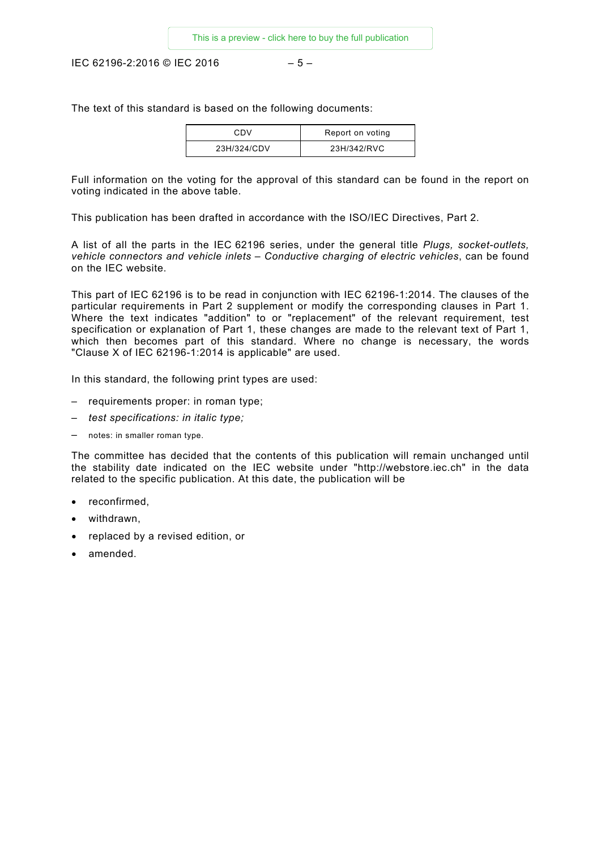IEC 62196-2:2016 © IEC 2016  $-5-$ 

The text of this standard is based on the following documents:

| CDV         | Report on voting |
|-------------|------------------|
| 23H/324/CDV | 23H/342/RVC      |

Full information on the voting for the approval of this standard can be found in the report on voting indicated in the above table.

This publication has been drafted in accordance with the ISO/IEC Directives, Part 2.

A list of all the parts in the IEC 62196 series, under the general title *Plugs, socket-outlets, vehicle connectors and vehicle inlets – Conductive charging of electric vehicles*, can be found on the IEC website.

This part of IEC 62196 is to be read in conjunction with IEC 62196-1:2014. The clauses of the particular requirements in Part 2 supplement or modify the corresponding clauses in Part 1. Where the text indicates "addition" to or "replacement" of the relevant requirement, test specification or explanation of Part 1, these changes are made to the relevant text of Part 1, which then becomes part of this standard. Where no change is necessary, the words "Clause X of IEC 62196-1:2014 is applicable" are used.

In this standard, the following print types are used:

- requirements proper: in roman type;
- *test specifications: in italic type;*
- notes: in smaller roman type.

The committee has decided that the contents of this publication will remain unchanged until the stability date indicated on the IEC website under "http://webstore.iec.ch" in the data related to the specific publication. At this date, the publication will be

- reconfirmed,
- withdrawn,
- replaced by a revised edition, or
- amended.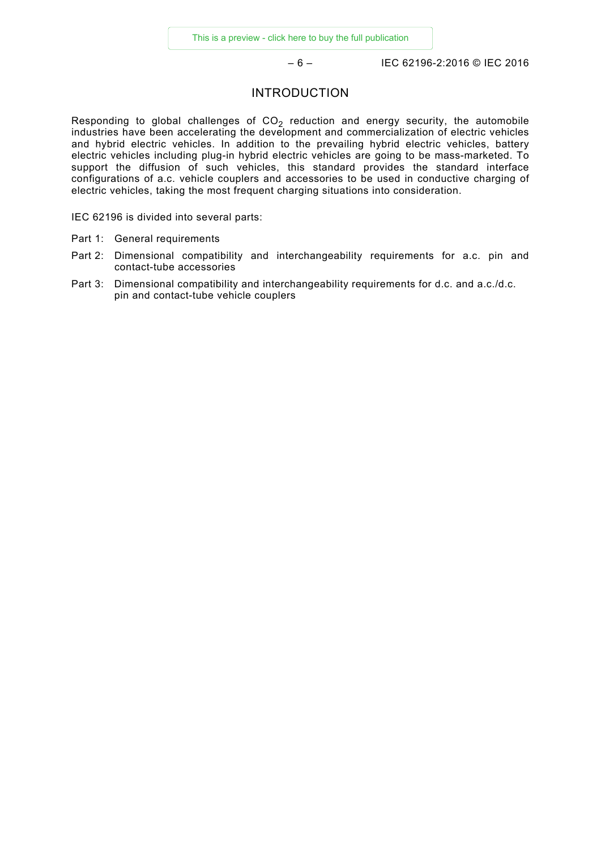– 6 – IEC 62196-2:2016 © IEC 2016

# INTRODUCTION

<span id="page-5-0"></span>Responding to global challenges of  $CO<sub>2</sub>$  reduction and energy security, the automobile industries have been accelerating the development and commercialization of electric vehicles and hybrid electric vehicles. In addition to the prevailing hybrid electric vehicles, battery electric vehicles including plug-in hybrid electric vehicles are going to be mass-marketed. To support the diffusion of such vehicles, this standard provides the standard interface configurations of a.c. vehicle couplers and accessories to be used in conductive charging of electric vehicles, taking the most frequent charging situations into consideration.

IEC 62196 is divided into several parts:

- Part 1: General requirements
- Part 2: Dimensional compatibility and interchangeability requirements for a.c. pin and contact-tube accessories
- Part 3: Dimensional compatibility and interchangeability requirements for d.c. and a.c./d.c. pin and contact-tube vehicle couplers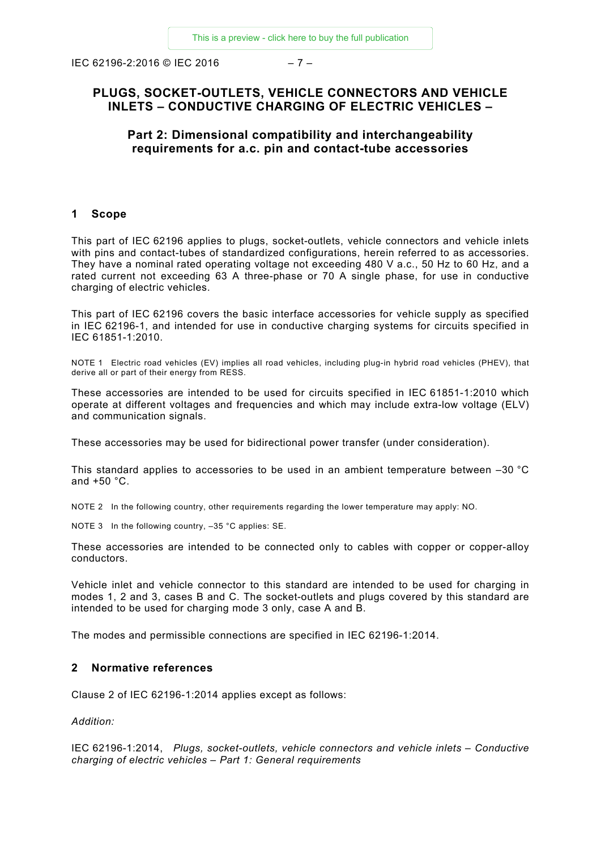IEC 62196-2:2016 © IEC 2016 – 7 –

# **PLUGS, SOCKET-OUTLETS, VEHICLE CONNECTORS AND VEHICLE INLETS – CONDUCTIVE CHARGING OF ELECTRIC VEHICLES –**

# **Part 2: Dimensional compatibility and interchangeability requirements for a.c. pin and contact-tube accessories**

## <span id="page-6-0"></span>**1 Scope**

This part of IEC 62196 applies to plugs, socket-outlets, vehicle connectors and vehicle inlets with pins and contact-tubes of standardized configurations, herein referred to as accessories. They have a nominal rated operating voltage not exceeding 480 V a.c., 50 Hz to 60 Hz, and a rated current not exceeding 63 A three-phase or 70 A single phase, for use in conductive charging of electric vehicles.

This part of IEC 62196 covers the basic interface accessories for vehicle supply as specified in IEC 62196-1, and intended for use in conductive charging systems for circuits specified in IEC 61851-1:2010.

NOTE 1 Electric road vehicles (EV) implies all road vehicles, including plug-in hybrid road vehicles (PHEV), that derive all or part of their energy from RESS.

These accessories are intended to be used for circuits specified in IEC 61851-1:2010 which operate at different voltages and frequencies and which may include extra-low voltage (ELV) and communication signals.

These accessories may be used for bidirectional power transfer (under consideration).

This standard applies to accessories to be used in an ambient temperature between –30 °C and  $+50$  °C.

NOTE 2 In the following country, other requirements regarding the lower temperature may apply: NO.

NOTE 3 In the following country, –35 °C applies: SE.

These accessories are intended to be connected only to cables with copper or copper-alloy conductors.

Vehicle inlet and vehicle connector to this standard are intended to be used for charging in modes 1, 2 and 3, cases B and C. The socket-outlets and plugs covered by this standard are intended to be used for charging mode 3 only, case A and B.

The modes and permissible connections are specified in IEC 62196-1:2014.

## <span id="page-6-1"></span>**2 Normative references**

Clause 2 of IEC 62196-1:2014 applies except as follows:

*Addition:* 

IEC 62196-1:2014, *Plugs, socket-outlets, vehicle connectors and vehicle inlets – Conductive charging of electric vehicles – Part 1: General requirements*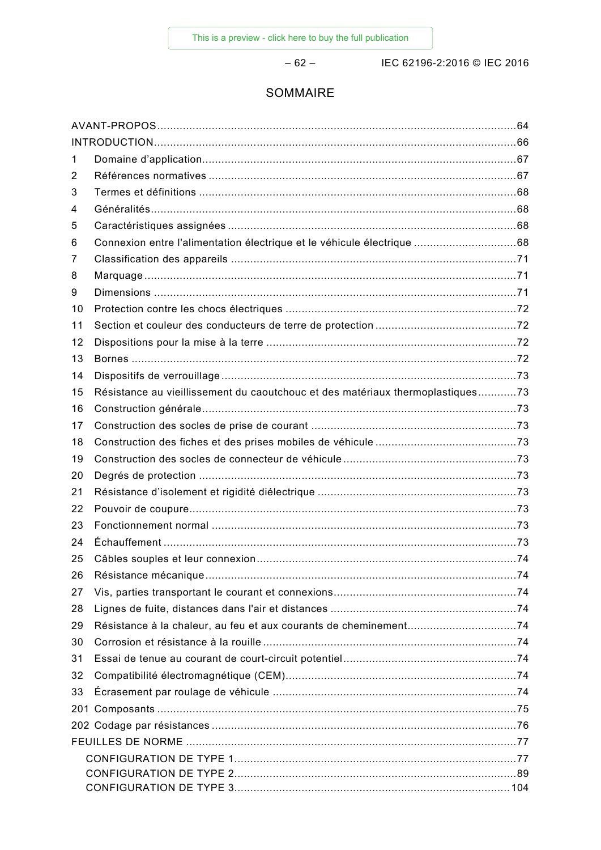$-62-$ 

IEC 62196-2:2016 © IEC 2016

# SOMMAIRE

| 1  |                                                                                |  |  |
|----|--------------------------------------------------------------------------------|--|--|
| 2  |                                                                                |  |  |
| 3  |                                                                                |  |  |
| 4  |                                                                                |  |  |
| 5  |                                                                                |  |  |
| 6  | Connexion entre l'alimentation électrique et le véhicule électrique 68         |  |  |
| 7  |                                                                                |  |  |
| 8  |                                                                                |  |  |
| 9  |                                                                                |  |  |
| 10 |                                                                                |  |  |
| 11 |                                                                                |  |  |
| 12 |                                                                                |  |  |
| 13 |                                                                                |  |  |
| 14 |                                                                                |  |  |
| 15 | Résistance au vieillissement du caoutchouc et des matériaux thermoplastiques73 |  |  |
| 16 |                                                                                |  |  |
| 17 |                                                                                |  |  |
| 18 |                                                                                |  |  |
| 19 |                                                                                |  |  |
| 20 |                                                                                |  |  |
| 21 |                                                                                |  |  |
| 22 |                                                                                |  |  |
| 23 |                                                                                |  |  |
| 24 |                                                                                |  |  |
| 25 |                                                                                |  |  |
| 26 |                                                                                |  |  |
| 27 |                                                                                |  |  |
| 28 |                                                                                |  |  |
| 29 |                                                                                |  |  |
| 30 |                                                                                |  |  |
| 31 |                                                                                |  |  |
| 32 |                                                                                |  |  |
| 33 |                                                                                |  |  |
|    |                                                                                |  |  |
|    |                                                                                |  |  |
|    |                                                                                |  |  |
|    |                                                                                |  |  |
|    |                                                                                |  |  |
|    |                                                                                |  |  |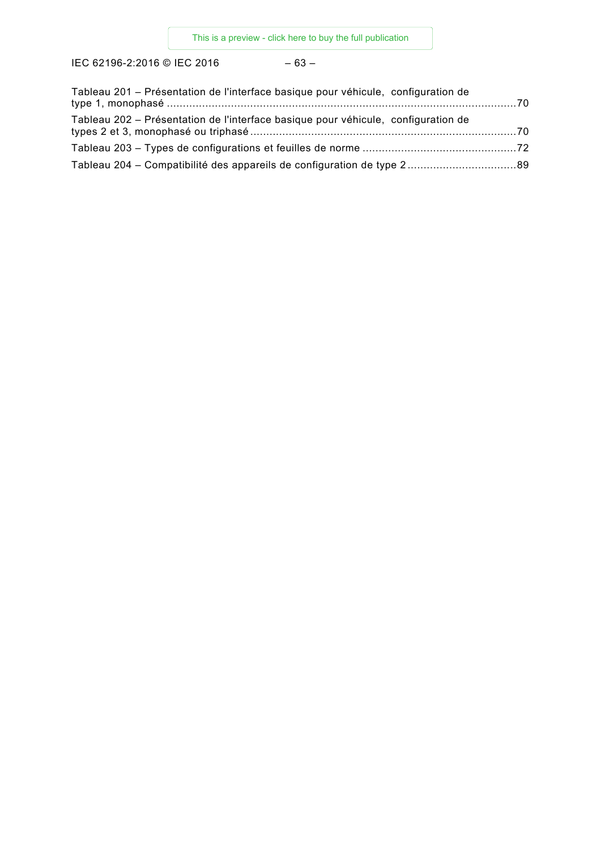IEC 62196-2:2016 © IEC 2016 – 63 –

| Tableau 201 – Présentation de l'interface basique pour véhicule, configuration de |  |
|-----------------------------------------------------------------------------------|--|
| Tableau 202 – Présentation de l'interface basique pour véhicule, configuration de |  |
|                                                                                   |  |
| Tableau 204 - Compatibilité des appareils de configuration de type 289            |  |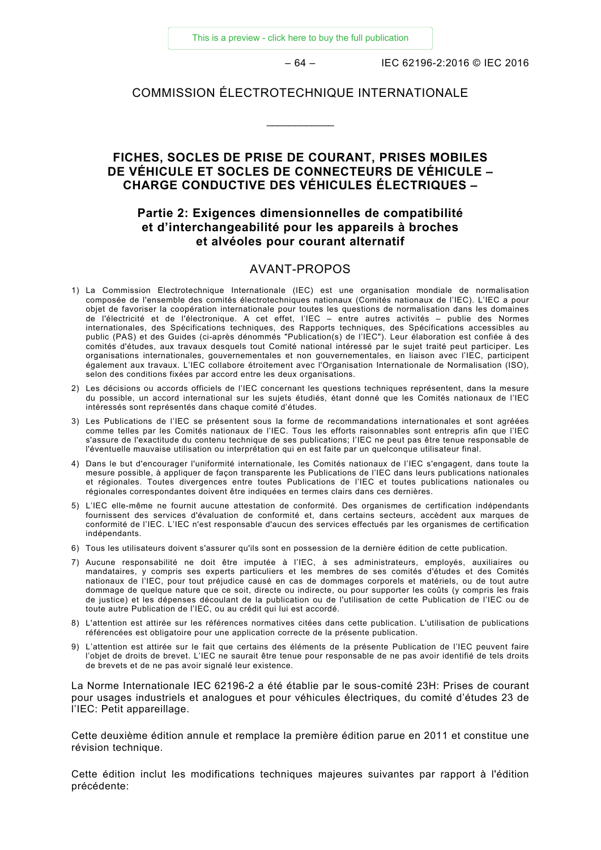[This is a preview - click here to buy the full publication](https://webstore.iec.ch/publication/24204&preview=1)

– 64 – IEC 62196-2:2016 © IEC 2016

# COMMISSION ÉLECTROTECHNIQUE INTERNATIONALE

\_\_\_\_\_\_\_\_\_\_\_\_

# **FICHES, SOCLES DE PRISE DE COURANT, PRISES MOBILES DE VÉHICULE ET SOCLES DE CONNECTEURS DE VÉHICULE – CHARGE CONDUCTIVE DES VÉHICULES ÉLECTRIQUES –**

# **Partie 2: Exigences dimensionnelles de compatibilité et d'interchangeabilité pour les appareils à broches et alvéoles pour courant alternatif**

# AVANT-PROPOS

- <span id="page-9-0"></span>1) La Commission Electrotechnique Internationale (IEC) est une organisation mondiale de normalisation composée de l'ensemble des comités électrotechniques nationaux (Comités nationaux de l'IEC). L'IEC a pour objet de favoriser la coopération internationale pour toutes les questions de normalisation dans les domaines de l'électricité et de l'électronique. A cet effet, l'IEC – entre autres activités – publie des Normes internationales, des Spécifications techniques, des Rapports techniques, des Spécifications accessibles au public (PAS) et des Guides (ci-après dénommés "Publication(s) de l'IEC"). Leur élaboration est confiée à des comités d'études, aux travaux desquels tout Comité national intéressé par le sujet traité peut participer. Les organisations internationales, gouvernementales et non gouvernementales, en liaison avec l'IEC, participent également aux travaux. L'IEC collabore étroitement avec l'Organisation Internationale de Normalisation (ISO), selon des conditions fixées par accord entre les deux organisations.
- 2) Les décisions ou accords officiels de l'IEC concernant les questions techniques représentent, dans la mesure du possible, un accord international sur les sujets étudiés, étant donné que les Comités nationaux de l'IEC intéressés sont représentés dans chaque comité d'études.
- 3) Les Publications de l'IEC se présentent sous la forme de recommandations internationales et sont agréées comme telles par les Comités nationaux de l'IEC. Tous les efforts raisonnables sont entrepris afin que l'IEC s'assure de l'exactitude du contenu technique de ses publications; l'IEC ne peut pas être tenue responsable de l'éventuelle mauvaise utilisation ou interprétation qui en est faite par un quelconque utilisateur final.
- 4) Dans le but d'encourager l'uniformité internationale, les Comités nationaux de l'IEC s'engagent, dans toute la mesure possible, à appliquer de façon transparente les Publications de l'IEC dans leurs publications nationales et régionales. Toutes divergences entre toutes Publications de l'IEC et toutes publications nationales ou régionales correspondantes doivent être indiquées en termes clairs dans ces dernières.
- 5) L'IEC elle-même ne fournit aucune attestation de conformité. Des organismes de certification indépendants fournissent des services d'évaluation de conformité et, dans certains secteurs, accèdent aux marques de conformité de l'IEC. L'IEC n'est responsable d'aucun des services effectués par les organismes de certification indépendants.
- 6) Tous les utilisateurs doivent s'assurer qu'ils sont en possession de la dernière édition de cette publication.
- 7) Aucune responsabilité ne doit être imputée à l'IEC, à ses administrateurs, employés, auxiliaires ou mandataires, y compris ses experts particuliers et les membres de ses comités d'études et des Comités nationaux de l'IEC, pour tout préjudice causé en cas de dommages corporels et matériels, ou de tout autre dommage de quelque nature que ce soit, directe ou indirecte, ou pour supporter les coûts (y compris les frais de justice) et les dépenses découlant de la publication ou de l'utilisation de cette Publication de l'IEC ou de toute autre Publication de l'IEC, ou au crédit qui lui est accordé.
- 8) L'attention est attirée sur les références normatives citées dans cette publication. L'utilisation de publications référencées est obligatoire pour une application correcte de la présente publication.
- 9) L'attention est attirée sur le fait que certains des éléments de la présente Publication de l'IEC peuvent faire l'objet de droits de brevet. L'IEC ne saurait être tenue pour responsable de ne pas avoir identifié de tels droits de brevets et de ne pas avoir signalé leur existence.

La Norme Internationale IEC 62196-2 a été établie par le sous-comité 23H: Prises de courant pour usages industriels et analogues et pour véhicules électriques, du comité d'études 23 de l'IEC: Petit appareillage.

Cette deuxième édition annule et remplace la première édition parue en 2011 et constitue une révision technique.

Cette édition inclut les modifications techniques majeures suivantes par rapport à l'édition précédente: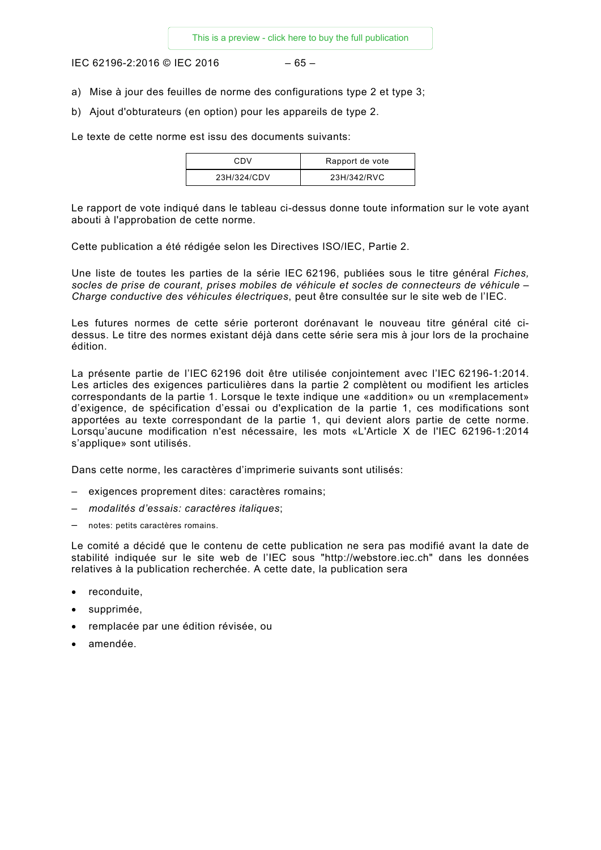IEC 62196-2:2016 © IEC 2016 – 65 –

- a) Mise à jour des feuilles de norme des configurations type 2 et type 3;
- b) Ajout d'obturateurs (en option) pour les appareils de type 2.

Le texte de cette norme est issu des documents suivants:

| CDV         | Rapport de vote |
|-------------|-----------------|
| 23H/324/CDV | 23H/342/RVC     |

Le rapport de vote indiqué dans le tableau ci-dessus donne toute information sur le vote ayant abouti à l'approbation de cette norme.

Cette publication a été rédigée selon les Directives ISO/IEC, Partie 2.

Une liste de toutes les parties de la série IEC 62196, publiées sous le titre général *Fiches, socles de prise de courant, prises mobiles de véhicule et socles de connecteurs de véhicule – Charge conductive des véhicules électriques*, peut être consultée sur le site web de l'IEC.

Les futures normes de cette série porteront dorénavant le nouveau titre général cité cidessus. Le titre des normes existant déjà dans cette série sera mis à jour lors de la prochaine édition.

La présente partie de l'IEC 62196 doit être utilisée conjointement avec l'IEC 62196-1:2014. Les articles des exigences particulières dans la partie 2 complètent ou modifient les articles correspondants de la partie 1. Lorsque le texte indique une «addition» ou un «remplacement» d'exigence, de spécification d'essai ou d'explication de la partie 1, ces modifications sont apportées au texte correspondant de la partie 1, qui devient alors partie de cette norme. Lorsqu'aucune modification n'est nécessaire, les mots «L'Article X de l'IEC 62196-1:2014 s'applique» sont utilisés.

Dans cette norme, les caractères d'imprimerie suivants sont utilisés:

- exigences proprement dites: caractères romains;
- *modalités d'essais: caractères italiques*;
- notes: petits caractères romains.

Le comité a décidé que le contenu de cette publication ne sera pas modifié avant la date de stabilité indiquée sur le site web de l'IEC sous "http://webstore.iec.ch" dans les données relatives à la publication recherchée. A cette date, la publication sera

- reconduite.
- supprimée.
- remplacée par une édition révisée, ou
- amendée.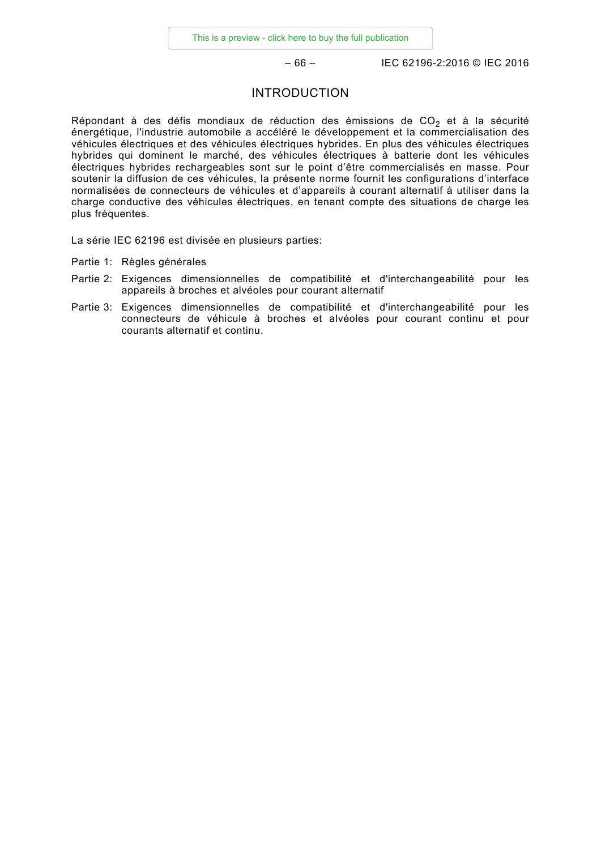– 66 – IEC 62196-2:2016 © IEC 2016

## INTRODUCTION

<span id="page-11-0"></span>Répondant à des défis mondiaux de réduction des émissions de  $CO<sub>2</sub>$  et à la sécurité énergétique, l'industrie automobile a accéléré le développement et la commercialisation des véhicules électriques et des véhicules électriques hybrides. En plus des véhicules électriques hybrides qui dominent le marché, des véhicules électriques à batterie dont les véhicules électriques hybrides rechargeables sont sur le point d'être commercialisés en masse. Pour soutenir la diffusion de ces véhicules, la présente norme fournit les configurations d'interface normalisées de connecteurs de véhicules et d'appareils à courant alternatif à utiliser dans la charge conductive des véhicules électriques, en tenant compte des situations de charge les plus fréquentes.

La série IEC 62196 est divisée en plusieurs parties:

- Partie 1: Règles générales
- Partie 2: Exigences dimensionnelles de compatibilité et d'interchangeabilité pour les appareils à broches et alvéoles pour courant alternatif
- Partie 3: Exigences dimensionnelles de compatibilité et d'interchangeabilité pour les connecteurs de véhicule à broches et alvéoles pour courant continu et pour courants alternatif et continu.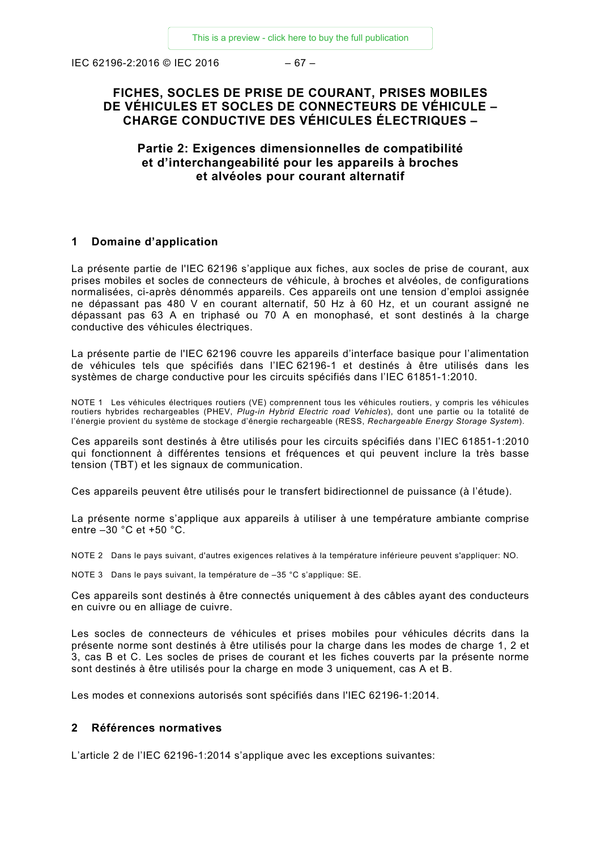IEC 62196-2:2016 © IEC 2016 – 67 –

# **FICHES, SOCLES DE PRISE DE COURANT, PRISES MOBILES DE VÉHICULES ET SOCLES DE CONNECTEURS DE VÉHICULE – CHARGE CONDUCTIVE DES VÉHICULES ÉLECTRIQUES –**

# **Partie 2: Exigences dimensionnelles de compatibilité et d'interchangeabilité pour les appareils à broches et alvéoles pour courant alternatif**

# <span id="page-12-0"></span>**1 Domaine d'application**

La présente partie de l'IEC 62196 s'applique aux fiches, aux socles de prise de courant, aux prises mobiles et socles de connecteurs de véhicule, à broches et alvéoles, de configurations normalisées, ci-après dénommés appareils. Ces appareils ont une tension d'emploi assignée ne dépassant pas 480 V en courant alternatif, 50 Hz à 60 Hz, et un courant assigné ne dépassant pas 63 A en triphasé ou 70 A en monophasé, et sont destinés à la charge conductive des véhicules électriques.

La présente partie de l'IEC 62196 couvre les appareils d'interface basique pour l'alimentation de véhicules tels que spécifiés dans l'IEC 62196-1 et destinés à être utilisés dans les systèmes de charge conductive pour les circuits spécifiés dans l'IEC 61851-1:2010.

NOTE 1 Les véhicules électriques routiers (VE) comprennent tous les véhicules routiers, y compris les véhicules routiers hybrides rechargeables (PHEV, *Plug-in Hybrid Electric road Vehicles*), dont une partie ou la totalité de l'énergie provient du système de stockage d'énergie rechargeable (RESS, *Rechargeable Energy Storage System*).

Ces appareils sont destinés à être utilisés pour les circuits spécifiés dans l'IEC 61851-1:2010 qui fonctionnent à différentes tensions et fréquences et qui peuvent inclure la très basse tension (TBT) et les signaux de communication.

Ces appareils peuvent être utilisés pour le transfert bidirectionnel de puissance (à l'étude).

La présente norme s'applique aux appareils à utiliser à une température ambiante comprise entre –30 °C et +50 °C.

NOTE 2 Dans le pays suivant, d'autres exigences relatives à la température inférieure peuvent s'appliquer: NO.

NOTE 3 Dans le pays suivant, la température de –35 °C s'applique: SE.

Ces appareils sont destinés à être connectés uniquement à des câbles ayant des conducteurs en cuivre ou en alliage de cuivre.

Les socles de connecteurs de véhicules et prises mobiles pour véhicules décrits dans la présente norme sont destinés à être utilisés pour la charge dans les modes de charge 1, 2 et 3, cas B et C. Les socles de prises de courant et les fiches couverts par la présente norme sont destinés à être utilisés pour la charge en mode 3 uniquement, cas A et B.

Les modes et connexions autorisés sont spécifiés dans l'IEC 62196-1:2014.

## <span id="page-12-1"></span>**2 Références normatives**

L'article 2 de l'IEC 62196-1:2014 s'applique avec les exceptions suivantes: